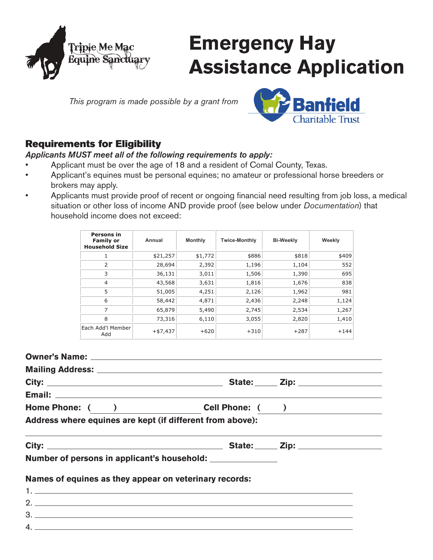

# **Emergency Hay Assistance Application**

*This program is made possible by a grant from*



# Requirements for Eligibility

#### *Applicants MUST meet all of the following requirements to apply:*

- Applicant must be over the age of 18 and a resident of Comal County, Texas.
- Applicant's equines must be personal equines; no amateur or professional horse breeders or brokers may apply.
- • Applicants must provide proof of recent or ongoing financial need resulting from job loss, a medical situation or other loss of income AND provide proof (see below under *Documentation*) that household income does not exceed:

| Persons in<br><b>Family or</b><br><b>Household Size</b> | Annual     | <b>Monthly</b> | <b>Twice-Monthly</b> | <b>Bi-Weekly</b> | Weekly |
|---------------------------------------------------------|------------|----------------|----------------------|------------------|--------|
| 1                                                       | \$21,257   | \$1,772        | \$886                | \$818            | \$409  |
| 2                                                       | 28,694     | 2,392          | 1,196                | 1,104            | 552    |
| 3                                                       | 36,131     | 3,011          | 1,506                | 1,390            | 695    |
| 4                                                       | 43,568     | 3,631          | 1,816                | 1,676            | 838    |
| 5                                                       | 51,005     | 4,251          | 2,126                | 1,962            | 981    |
| 6                                                       | 58,442     | 4,871          | 2,436                | 2,248            | 1,124  |
| 7                                                       | 65,879     | 5,490          | 2,745                | 2,534            | 1,267  |
| 8                                                       | 73,316     | 6,110          | 3,055                | 2,820            | 1,410  |
| Each Add'l Member<br>Add                                | $+ $7,437$ | $+620$         | $+310$               | $+287$           | $+144$ |

| Home Phone: ( ) Cell Phone: ( )                                                                                       |  |  |
|-----------------------------------------------------------------------------------------------------------------------|--|--|
| Address where equines are kept (if different from above):                                                             |  |  |
| <u> 1999 - Andrea Andrea Andrea Andrea Andrea Andrea Andrea Andrea Andrea Andrea Andrea Andrea Andrea Andrea Andr</u> |  |  |
| Number of persons in applicant's household: _______________                                                           |  |  |
| Names of equines as they appear on veterinary records:                                                                |  |  |
|                                                                                                                       |  |  |
|                                                                                                                       |  |  |
| $3.$ $\overline{\phantom{a}}$                                                                                         |  |  |
|                                                                                                                       |  |  |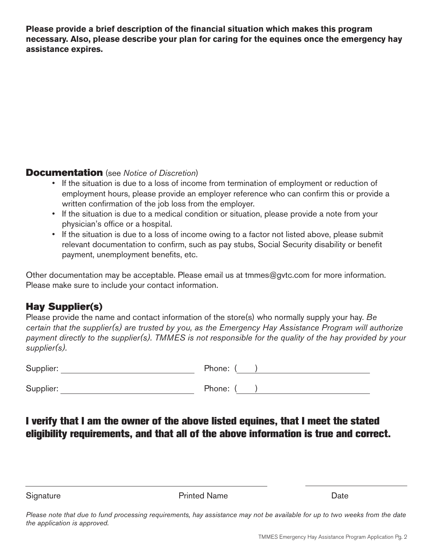**Please provide a brief description of the financial situation which makes this program necessary. Also, please describe your plan for caring for the equines once the emergency hay assistance expires.**

#### Documentation (see *Notice of Discretion*)

- If the situation is due to a loss of income from termination of employment or reduction of employment hours, please provide an employer reference who can confirm this or provide a written confirmation of the job loss from the employer.
- If the situation is due to a medical condition or situation, please provide a note from your physician's office or a hospital.
- If the situation is due to a loss of income owing to a factor not listed above, please submit relevant documentation to confirm, such as pay stubs, Social Security disability or benefit payment, unemployment benefits, etc.

Other documentation may be acceptable. Please email us at tmmes@gvtc.com for more information. Please make sure to include your contact information.

# Hay Supplier(s)

Please provide the name and contact information of the store(s) who normally supply your hay. *Be certain that the supplier(s) are trusted by you, as the Emergency Hay Assistance Program will authorize payment directly to the supplier(s). TMMES is not responsible for the quality of the hay provided by your supplier(s).*

| Supplier: | Phone: ( |
|-----------|----------|
| Supplier: | Phone: ( |

# I verify that I am the owner of the above listed equines, that I meet the stated eligibility requirements, and that all of the above information is true and correct.

Signature **Date Contract Contract Contract Printed Name Contract Contract Contract Contract Contract Contract Contract Contract Contract Contract Contract Contract Contract Contract Contract Contract Contract Contract** 

*Please note that due to fund processing requirements, hay assistance may not be available for up to two weeks from the date the application is approved.*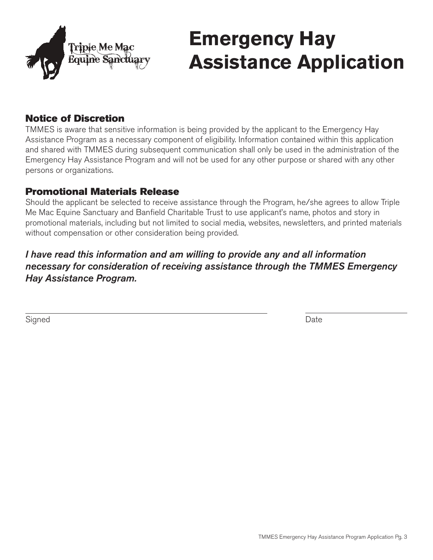

# **Emergency Hay Assistance Application**

### Notice of Discretion

TMMES is aware that sensitive information is being provided by the applicant to the Emergency Hay Assistance Program as a necessary component of eligibility. Information contained within this application and shared with TMMES during subsequent communication shall only be used in the administration of the Emergency Hay Assistance Program and will not be used for any other purpose or shared with any other persons or organizations.

### Promotional Materials Release

Should the applicant be selected to receive assistance through the Program, he/she agrees to allow Triple Me Mac Equine Sanctuary and Banfield Charitable Trust to use applicant's name, photos and story in promotional materials, including but not limited to social media, websites, newsletters, and printed materials without compensation or other consideration being provided.

### *I have read this information and am willing to provide any and all information necessary for consideration of receiving assistance through the TMMES Emergency Hay Assistance Program.*

Signed **Date**